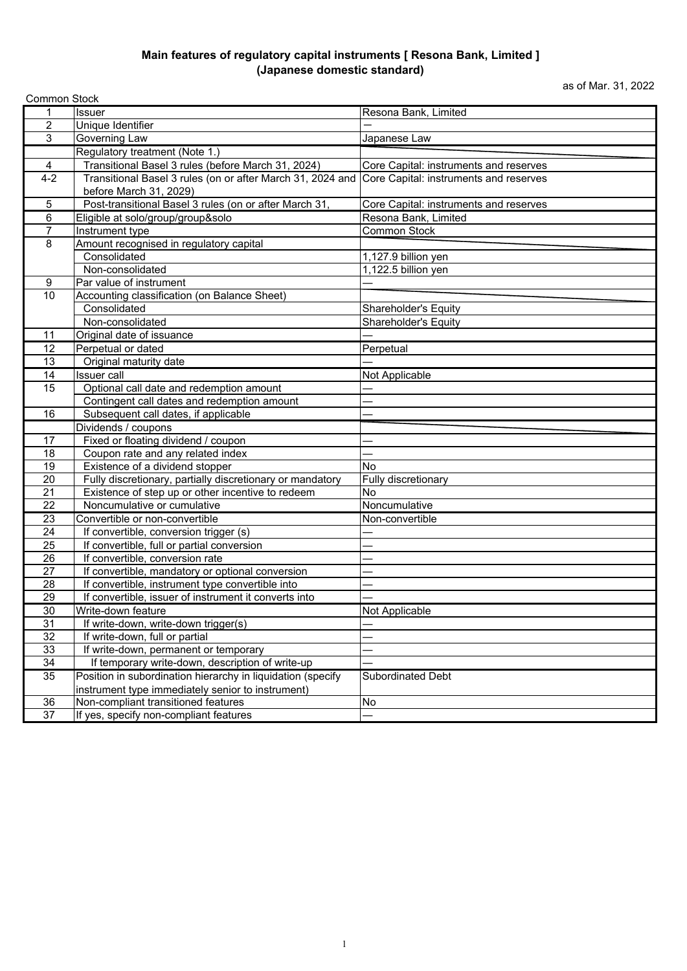## **Main features of regulatory capital instruments [ Resona Bank, Limited ] (Japanese domestic standard)**

as of Mar. 31, 2022

| <b>Common Stock</b> |                                                             |                                        |  |  |
|---------------------|-------------------------------------------------------------|----------------------------------------|--|--|
| 1                   | <b>Issuer</b>                                               | Resona Bank, Limited                   |  |  |
| $\overline{c}$      | Unique Identifier                                           |                                        |  |  |
| $\overline{3}$      | Governing Law                                               | Japanese Law                           |  |  |
|                     | Regulatory treatment (Note 1.)                              |                                        |  |  |
| $\overline{4}$      | Transitional Basel 3 rules (before March 31, 2024)          | Core Capital: instruments and reserves |  |  |
| $4 - 2$             | Transitional Basel 3 rules (on or after March 31, 2024 and  | Core Capital: instruments and reserves |  |  |
|                     | before March 31, 2029)                                      |                                        |  |  |
| $\sqrt{5}$          | Post-transitional Basel 3 rules (on or after March 31,      | Core Capital: instruments and reserves |  |  |
| 6                   | Eligible at solo/group/group&solo                           | Resona Bank, Limited                   |  |  |
| $\overline{7}$      | Instrument type                                             | <b>Common Stock</b>                    |  |  |
| 8                   | Amount recognised in regulatory capital                     |                                        |  |  |
|                     | Consolidated                                                | 1,127.9 billion yen                    |  |  |
|                     | Non-consolidated                                            | 1,122.5 billion yen                    |  |  |
| 9                   | Par value of instrument                                     |                                        |  |  |
| 10                  | Accounting classification (on Balance Sheet)                |                                        |  |  |
|                     | Consolidated                                                | Shareholder's Equity                   |  |  |
|                     | Non-consolidated                                            | Shareholder's Equity                   |  |  |
| 11                  | Original date of issuance                                   |                                        |  |  |
| 12                  | Perpetual or dated                                          | Perpetual                              |  |  |
| 13                  | Original maturity date                                      |                                        |  |  |
| 14                  | <b>Issuer</b> call                                          | Not Applicable                         |  |  |
| 15                  | Optional call date and redemption amount                    |                                        |  |  |
|                     | Contingent call dates and redemption amount                 |                                        |  |  |
| 16                  | Subsequent call dates, if applicable                        |                                        |  |  |
|                     | Dividends / coupons                                         |                                        |  |  |
| 17                  | Fixed or floating dividend / coupon                         |                                        |  |  |
| 18                  | Coupon rate and any related index                           |                                        |  |  |
| 19                  | Existence of a dividend stopper                             | <b>No</b>                              |  |  |
| 20                  | Fully discretionary, partially discretionary or mandatory   | Fully discretionary                    |  |  |
| 21                  | Existence of step up or other incentive to redeem           | No                                     |  |  |
| $\overline{22}$     | Noncumulative or cumulative                                 | Noncumulative                          |  |  |
| 23                  | Convertible or non-convertible                              | Non-convertible                        |  |  |
| 24                  | If convertible, conversion trigger (s)                      |                                        |  |  |
| $\overline{25}$     | If convertible, full or partial conversion                  |                                        |  |  |
| 26                  | If convertible, conversion rate                             |                                        |  |  |
| $\overline{27}$     | If convertible, mandatory or optional conversion            |                                        |  |  |
| 28                  | If convertible, instrument type convertible into            |                                        |  |  |
| 29                  | If convertible, issuer of instrument it converts into       |                                        |  |  |
| 30                  | Write-down feature                                          | Not Applicable                         |  |  |
| 31                  | If write-down, write-down trigger(s)                        |                                        |  |  |
| $\overline{32}$     | If write-down, full or partial                              |                                        |  |  |
| 33                  | If write-down, permanent or temporary                       |                                        |  |  |
| 34                  | If temporary write-down, description of write-up            |                                        |  |  |
| 35                  | Position in subordination hierarchy in liquidation (specify | Subordinated Debt                      |  |  |
| 36                  | instrument type immediately senior to instrument)           | No                                     |  |  |
| 37                  | Non-compliant transitioned features                         |                                        |  |  |
|                     | If yes, specify non-compliant features                      |                                        |  |  |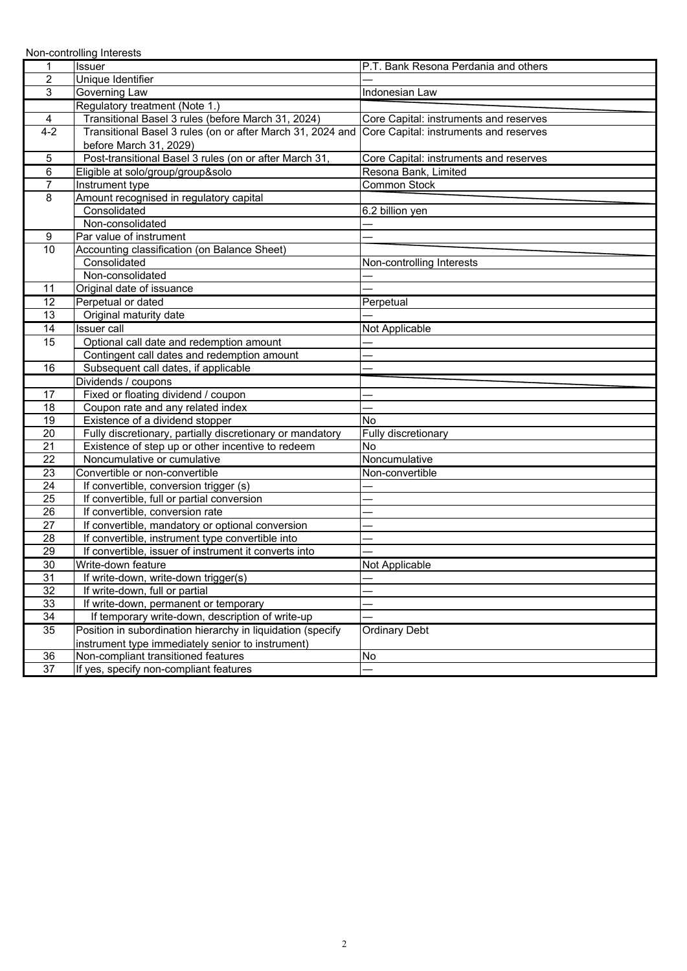|                 | Non-controlling Interests                                                                         |                                        |
|-----------------|---------------------------------------------------------------------------------------------------|----------------------------------------|
| 1               | Issuer                                                                                            | P.T. Bank Resona Perdania and others   |
| $\overline{2}$  | Unique Identifier                                                                                 |                                        |
| 3               | Governing Law                                                                                     | Indonesian Law                         |
|                 | Regulatory treatment (Note 1.)                                                                    |                                        |
| 4               | Transitional Basel 3 rules (before March 31, 2024)                                                | Core Capital: instruments and reserves |
| $4 - 2$         | Transitional Basel 3 rules (on or after March 31, 2024 and Core Capital: instruments and reserves |                                        |
|                 | before March 31, 2029)                                                                            |                                        |
| 5               | Post-transitional Basel 3 rules (on or after March 31,                                            | Core Capital: instruments and reserves |
| 6               | Eligible at solo/group/group&solo                                                                 | Resona Bank, Limited                   |
| $\overline{7}$  | Instrument type                                                                                   | Common Stock                           |
| 8               | Amount recognised in regulatory capital                                                           |                                        |
|                 | Consolidated                                                                                      | 6.2 billion yen                        |
|                 | Non-consolidated                                                                                  |                                        |
| 9               | Par value of instrument                                                                           |                                        |
| 10              | Accounting classification (on Balance Sheet)                                                      |                                        |
|                 | Consolidated                                                                                      | Non-controlling Interests              |
|                 | Non-consolidated                                                                                  |                                        |
| 11              | Original date of issuance                                                                         |                                        |
| 12              | Perpetual or dated                                                                                | Perpetual                              |
| 13              | Original maturity date                                                                            |                                        |
| 14              | <b>Issuer</b> call                                                                                | Not Applicable                         |
| 15              | Optional call date and redemption amount                                                          |                                        |
|                 | Contingent call dates and redemption amount                                                       |                                        |
| 16              | Subsequent call dates, if applicable                                                              |                                        |
|                 | Dividends / coupons                                                                               |                                        |
| 17              | Fixed or floating dividend / coupon                                                               |                                        |
| 18              | Coupon rate and any related index                                                                 |                                        |
| 19              | Existence of a dividend stopper                                                                   | No                                     |
| 20              | Fully discretionary, partially discretionary or mandatory                                         | Fully discretionary                    |
| 21              | Existence of step up or other incentive to redeem                                                 | <b>No</b>                              |
| 22              | Noncumulative or cumulative                                                                       | Noncumulative                          |
| 23              | Convertible or non-convertible                                                                    | Non-convertible                        |
| 24              | If convertible, conversion trigger (s)                                                            |                                        |
| 25              | If convertible, full or partial conversion                                                        |                                        |
| 26              | If convertible, conversion rate                                                                   |                                        |
| 27              | If convertible, mandatory or optional conversion                                                  |                                        |
| $\overline{28}$ | If convertible, instrument type convertible into                                                  |                                        |
| 29              | If convertible, issuer of instrument it converts into                                             |                                        |
| 30              | Write-down feature                                                                                | Not Applicable                         |
| 31              | If write-down, write-down trigger(s)                                                              |                                        |
| 32              | If write-down, full or partial                                                                    |                                        |
| 33              | If write-down, permanent or temporary                                                             |                                        |
| 34              | If temporary write-down, description of write-up                                                  |                                        |
| 35              | Position in subordination hierarchy in liquidation (specify                                       | <b>Ordinary Debt</b>                   |
|                 | instrument type immediately senior to instrument)                                                 |                                        |
| 36              | Non-compliant transitioned features                                                               | No                                     |
| $\overline{37}$ | If yes, specify non-compliant features                                                            |                                        |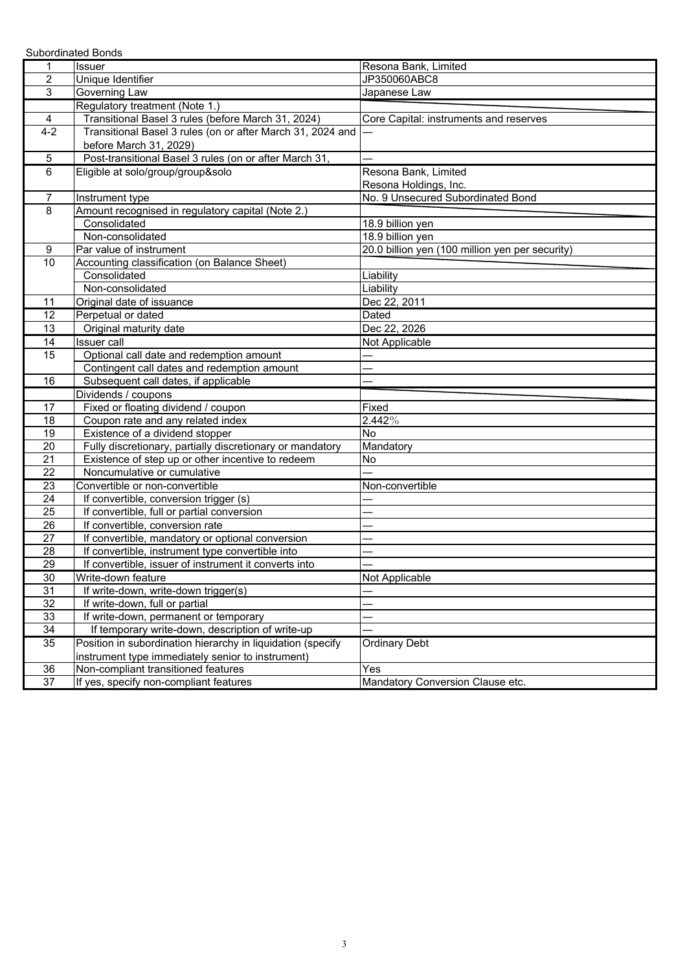|                 | <b>Subordinated Bonds</b>                                   |                                                 |
|-----------------|-------------------------------------------------------------|-------------------------------------------------|
| 1               | Issuer                                                      | Resona Bank, Limited                            |
| $\overline{2}$  | Unique Identifier                                           | JP350060ABC8                                    |
| 3               | Governing Law                                               | Japanese Law                                    |
|                 | Regulatory treatment (Note 1.)                              |                                                 |
| 4               | Transitional Basel 3 rules (before March 31, 2024)          | Core Capital: instruments and reserves          |
| $4 - 2$         | Transitional Basel 3 rules (on or after March 31, 2024 and  |                                                 |
|                 | before March 31, 2029)                                      |                                                 |
| 5               | Post-transitional Basel 3 rules (on or after March 31,      |                                                 |
| 6               | Eligible at solo/group/group&solo                           | Resona Bank, Limited                            |
|                 |                                                             | Resona Holdings, Inc.                           |
| 7               | Instrument type                                             | No. 9 Unsecured Subordinated Bond               |
| 8               | Amount recognised in regulatory capital (Note 2.)           |                                                 |
|                 | Consolidated                                                | 18.9 billion yen                                |
|                 | Non-consolidated                                            | 18.9 billion yen                                |
| 9               | Par value of instrument                                     | 20.0 billion yen (100 million yen per security) |
| $\overline{10}$ | Accounting classification (on Balance Sheet)                |                                                 |
|                 | Consolidated                                                | Liability                                       |
|                 | Non-consolidated                                            | Liability                                       |
| 11              | Original date of issuance                                   | Dec 22, 2011                                    |
| 12              | Perpetual or dated                                          | Dated                                           |
| 13              | Original maturity date                                      | Dec 22, 2026                                    |
| 14              | <b>Issuer</b> call                                          | Not Applicable                                  |
| 15              | Optional call date and redemption amount                    |                                                 |
|                 | Contingent call dates and redemption amount                 |                                                 |
| 16              | Subsequent call dates, if applicable                        |                                                 |
|                 | Dividends / coupons                                         |                                                 |
| 17              | Fixed or floating dividend / coupon                         | Fixed                                           |
| 18              | Coupon rate and any related index                           | 2.442%                                          |
| 19              | Existence of a dividend stopper                             | No                                              |
| 20              | Fully discretionary, partially discretionary or mandatory   | Mandatory                                       |
| 21              | Existence of step up or other incentive to redeem           | <b>No</b>                                       |
| 22              | Noncumulative or cumulative                                 |                                                 |
| 23              | Convertible or non-convertible                              | Non-convertible                                 |
| 24              | If convertible, conversion trigger (s)                      |                                                 |
| 25              | If convertible, full or partial conversion                  |                                                 |
| 26              | If convertible, conversion rate                             |                                                 |
| $\overline{27}$ | If convertible, mandatory or optional conversion            |                                                 |
| 28              | If convertible, instrument type convertible into            |                                                 |
| 29              | If convertible, issuer of instrument it converts into       |                                                 |
| 30              | Write-down feature                                          | Not Applicable                                  |
| 31              | If write-down, write-down trigger(s)                        |                                                 |
| 32              | If write-down, full or partial                              |                                                 |
| 33              | If write-down, permanent or temporary                       |                                                 |
| 34              | If temporary write-down, description of write-up            |                                                 |
| $\overline{35}$ | Position in subordination hierarchy in liquidation (specify | <b>Ordinary Debt</b>                            |
|                 | instrument type immediately senior to instrument)           |                                                 |
| 36              | Non-compliant transitioned features                         | Yes                                             |
| 37              | If yes, specify non-compliant features                      | Mandatory Conversion Clause etc.                |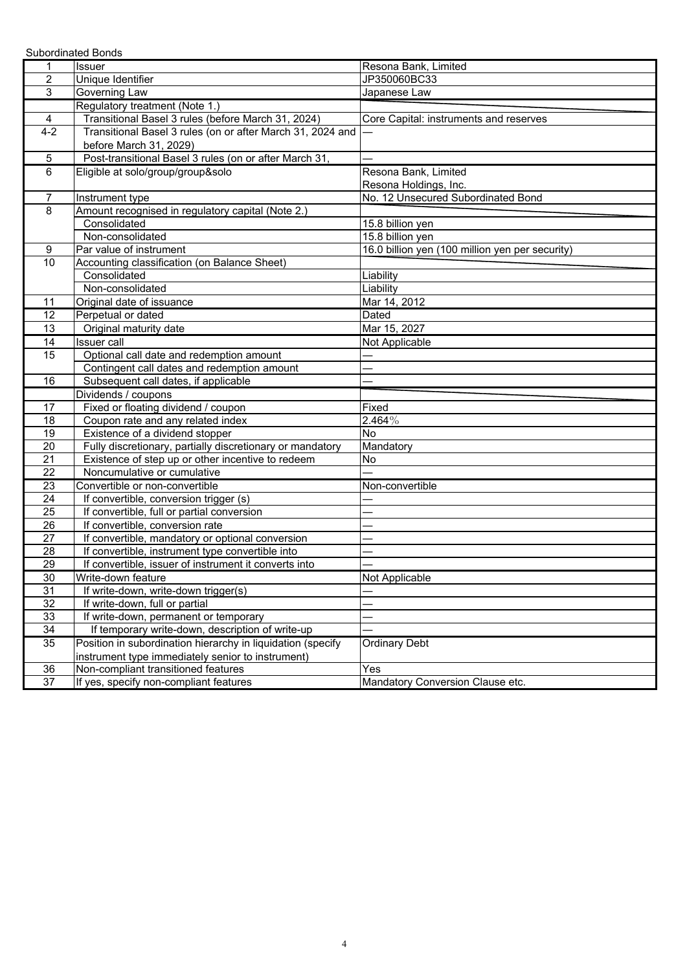|                  | <b>Subordinated Bonds</b>                                   |                                                 |
|------------------|-------------------------------------------------------------|-------------------------------------------------|
| 1                | Issuer                                                      | Resona Bank, Limited                            |
| $\overline{c}$   | Unique Identifier                                           | JP350060BC33                                    |
| $\mathbf{3}$     | Governing Law                                               | Japanese Law                                    |
|                  | Regulatory treatment (Note 1.)                              |                                                 |
| 4                | Transitional Basel 3 rules (before March 31, 2024)          | Core Capital: instruments and reserves          |
| $4 - 2$          | Transitional Basel 3 rules (on or after March 31, 2024 and  |                                                 |
|                  | before March 31, 2029)                                      |                                                 |
| 5                | Post-transitional Basel 3 rules (on or after March 31,      |                                                 |
| 6                | Eligible at solo/group/group&solo                           | Resona Bank, Limited                            |
|                  |                                                             | Resona Holdings, Inc.                           |
| 7                | Instrument type                                             | No. 12 Unsecured Subordinated Bond              |
| 8                | Amount recognised in regulatory capital (Note 2.)           |                                                 |
|                  | Consolidated                                                | 15.8 billion yen                                |
|                  | Non-consolidated                                            | 15.8 billion yen                                |
| $\boldsymbol{9}$ | Par value of instrument                                     | 16.0 billion yen (100 million yen per security) |
| $\overline{10}$  | Accounting classification (on Balance Sheet)                |                                                 |
|                  | Consolidated                                                | Liability                                       |
|                  | Non-consolidated                                            | Liability                                       |
| 11               | Original date of issuance                                   | Mar 14, 2012                                    |
| 12               | Perpetual or dated                                          | Dated                                           |
| 13               | Original maturity date                                      | Mar 15, 2027                                    |
| 14               | <b>Issuer</b> call                                          | Not Applicable                                  |
| 15               | Optional call date and redemption amount                    |                                                 |
|                  | Contingent call dates and redemption amount                 |                                                 |
| 16               | Subsequent call dates, if applicable                        |                                                 |
|                  | Dividends / coupons                                         |                                                 |
| 17               | Fixed or floating dividend / coupon                         | Fixed                                           |
| 18               | Coupon rate and any related index                           | $2.464\%$                                       |
| 19               | Existence of a dividend stopper                             | No                                              |
| 20               | Fully discretionary, partially discretionary or mandatory   | Mandatory                                       |
| 21               | Existence of step up or other incentive to redeem           | No                                              |
| 22               | Noncumulative or cumulative                                 |                                                 |
| 23               | Convertible or non-convertible                              | Non-convertible                                 |
| 24               | If convertible, conversion trigger (s)                      |                                                 |
| 25               | If convertible, full or partial conversion                  |                                                 |
| 26               | If convertible, conversion rate                             |                                                 |
| $\overline{27}$  | If convertible, mandatory or optional conversion            |                                                 |
| 28               | If convertible, instrument type convertible into            |                                                 |
| 29               | If convertible, issuer of instrument it converts into       |                                                 |
| 30               | Write-down feature                                          | Not Applicable                                  |
| 31               | If write-down, write-down trigger(s)                        |                                                 |
| 32               | If write-down, full or partial                              |                                                 |
| 33               | If write-down, permanent or temporary                       |                                                 |
| 34               | If temporary write-down, description of write-up            |                                                 |
| $\overline{35}$  | Position in subordination hierarchy in liquidation (specify | <b>Ordinary Debt</b>                            |
|                  | instrument type immediately senior to instrument)           |                                                 |
| 36               | Non-compliant transitioned features                         | Yes                                             |
| 37               | If yes, specify non-compliant features                      | Mandatory Conversion Clause etc.                |